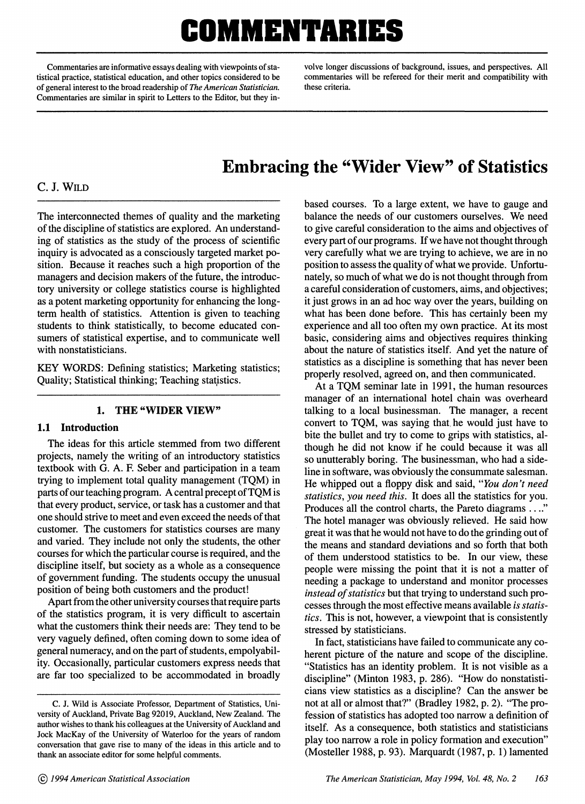tistical practice, statistical education, and other topics considered to be commentaries will be refereed for their merit and compatibility with of general interest to the broad readership of *The American Statistician.* these criteria. Commentaries are similar in spirit to Letters to the Editor, but they in-

Commentaries are informative essays dealing with viewpoints of sta- volve longer discussions of background, issues, and perspectives. All

# **Embracing the "Wider View" of Statistics**

COMMENTARIES

## *C.* **J.** WILD

The interconnected themes of quality and the marketing balance the needs of our customers ourselves. We need of the discipline of statistics are explored. An understand- to give careful consideration to the aims and objectives of ing of statistics as the study of the process of scientific every part of our programs. If we have not thought through inquiry is advocated as a consciously targeted market po- very carefully what we are trying to achieve, we are in no sition. Because it reaches such a high proportion of the position to assess the quality of what we provide. Unfortumanagers and decision makers of the future, the introduc- nately, so much of what we do is not thought through from tory university or college statistics course is highlighted a careful consideration of customers, aims, and objectives; as a potent marketing opportunity for enhancing the long- it just grows in an ad hoc way over the years, building on term health of statistics. Attention is given to teaching what has been done before. This has certainly been my students to think statistically, to become educated con- experience and all too often my own practice. At its most sumers of statistical expertise, and to communicate well basic, considering aims and objectives requires thinking with nonstatisticians.  $\blacksquare$  about the nature of statistics itself. And yet the nature of

#### **1. THE "WIDER VIEW"**

#### **1.1 Introduction**

The ideas for this article stemmed from two different projects, namely the writing of an introductory statistics textbook with G. A. F. Seber and participation in a team trying to implement total quality management (TQM) in parts of our teaching program. A central precept of TQM is that every product, service, or task has a customer and that one should strive to meet and even exceed the needs of that customer. The customers for statistics courses are many and varied. They include not only the students, the other courses for which the particular course is required, and the discipline itself, but society as a whole as a consequence of government funding. The students occupy the unusual position of being both customers and the product!

Apart from the other university courses that require parts of the statistics program, it is very difficult to ascertain what the customers think their needs are: They tend to be very vaguely defined, often coming down to some idea of general numeracy, and on the part of students, empolyability. Occasionally, particular customers express needs that are far too specialized to be accommodated in broadly

based courses. To a large extent, we have to gauge and KEY WORDS: Defining statistics; Marketing statistics; statistics as a discipline is something that has never been<br>Quality; Statistical thinking; Teaching statistics.<br>At a TQM seminar late in 1991, the human resources

manager of an international hotel chain was overheard talking to a local businessman. The manager, a recent convert to TQM, was saying that he would just have to bite the bullet and try to come to grips with statistics, although he did not know if he could because it was all so unutterably boring. The businessman, who had a sideline in software, was obviously the consummate salesman. He whipped out a floppy disk and said, *"You don't need statistics, you need this.* It does all the statistics for you. Produces all the control charts, the Pareto diagrams . . .." The hotel manager was obviously relieved. He said how great it was that he would not have to do the grinding out of the means and standard deviations and so forth that both of them understood statistics to be. In our view, these people were missing the point that it is not a matter of needing a package to understand and monitor processes *instead of statistics* but that trying to understand such processes through the most effective means available *is statistics.* This is not, however, a viewpoint that is consistently stressed by statisticians.

In fact, statisticians have failed to communicate any coherent picture of the nature and scope of the discipline. "Statistics has an identity problem. It is not visible as a discipline" (Minton 1983, p. 286). "How do nonstatisticians view statistics as a discipline? Can the answer be not at all or almost that?" (Bradley 1982, p. 2). "The profession of statistics has adopted too narrow a definition of itself. As a consequence, both statistics and statisticians play too narrow a role in policy formation and execution" (Mosteller 1988, p. 93). Marquardt (1987, g. 1) lamented

C. J. Wild is Associate Professor, Department of Statistics, University of Auckland, Private Bag 92019, Auckland, New Zealand. The author wishes to thank his colleagues at the University of Auckland and Jock MacKay of the University of Waterloo for the years of random conversation that gave rise to many of the ideas in this article and to thank an associate editor for some helpful comments.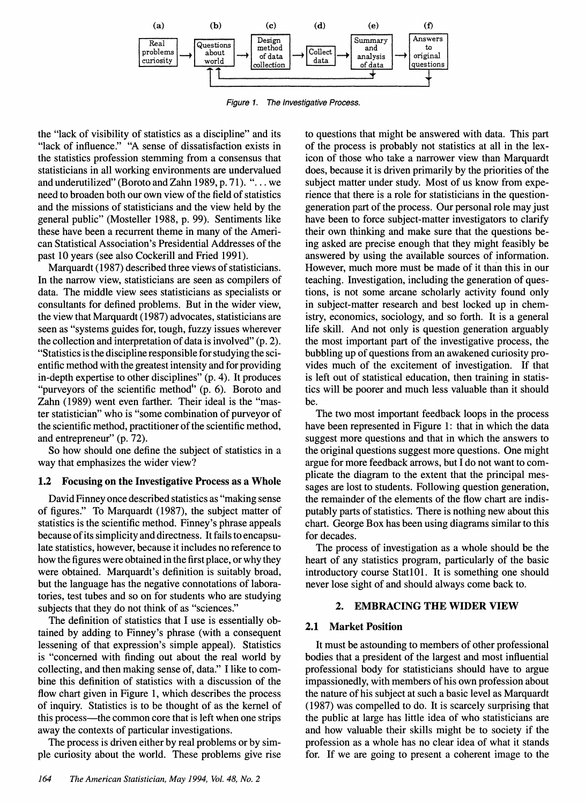

Figure 1. The Investigative Process.

the "lack of visibility of statistics as a discipline" and its "lack of influence." "A sense of dissatisfaction exists in the statistics profession stemming from a consensus that statisticians in all working environments are undervalued and underutilized" (Boroto and Zahn 1989, p. 71). ". . . we need to broaden both our own view of the field of statistics and the missions of statisticians and the view held by the general public" (Mosteller 1988, p. 99). Sentiments like these have been a recurrent theme in many of the American Statistical Association's Presidential Addresses of the past 10 years (see also Cockerill and Fried 1991).

Marquardt (1987) described three views of statisticians. In the narrow view, statisticians are seen as compilers of data. The middle view sees statisticians as specialists or consultants for defined problems. But in the wider view, the view that Marquardt (1987) advocates, statisticians are seen as "systems guides for, tough, fuzzy issues wherever the collection and interpretation of data is involved" (p. 2). "Statistics is the discipline responsible for studying the scientific method with the greatest intensity and for providing in-depth expertise to other disciplines" (p. 4). It produces "purveyors of the scientific method" (p. 6). Boroto and Zahn (1989) went even farther. Their ideal is the "master statistician" who is "some combination of purveyor of the scientific method, practitioner of the scientific method, and entrepreneur" (p. 72).

So how should one define the subject of statistics in a way that emphasizes the wider view?

#### **1.2 Focusing on the Investigative Process as a Whole**

David Finney once described statistics as "making sense of figures." To Marquardt (1987), the subject matter of statistics is the scientific method. Finney's phrase appeals because of its simplicity and directness. It fails to encapsulate statistics, however, because it includes no reference to how the figures were obtained in the first place, or why they were obtained. Marquardt's definition is suitably broad, but the language has the negative connotations of laboratories, test tubes and so on for students who are studying subjects that they do not think of as "sciences."

The definition of statistics that I use is essentially obtained by adding to Finney's phrase (with a consequent lessening of that expression's simple appeal). Statistics is "concerned with finding out about the real world by collecting, and then making sense of, data." I like to combine this definition of statistics with a discussion of the flow chart given in Figure 1, which describes the process of inquiry. Statistics is to be thought of as the kernel of this process-the common core that is left when one strips away the contexts of particular investigations.

The process is driven either by real problems or by simple curiosity about the world. These problems give rise to questions that might be answered with data. This part of the process is probably not statistics at all in the lexicon of those who take a narrower view than Marquardt does, because it is driven primarily by the priorities of the subject matter under study. Most of us know from experience that there is a role for statisticians in the questiongeneration part of the process. Our personal role may just have been to force subject-matter investigators to clarify their own thinking and make sure that the questions being asked are precise enough that they might feasibly be answered by using the available sources of information. However, much more must be made of it than this in our teaching. Investigation, including the generation of questions, is not some arcane scholarly activity found only in subject-matter research and best locked up in chemistry, economics, sociology, and so forth. It is a general life skill. And not only is question generation arguably the most important part of the investigative process, the bubbling up of questions from an awakened curiosity provides much of the excitement of investigation. If that is left out of statistical education, then training in statistics will be poorer and much less valuable than it should be.

The two most important feedback loops in the process have been represented in Figure 1: that in which the data suggest more questions and that in which the answers to the original questions suggest more questions. One might argue for more feedback arrows, but I do not want to complicate the diagram to the extent that the principal messages are lost to students. Following question generation, the remainder of the elements of the flow chart are indisputably parts of statistics. There is nothing new about this chart. George Box has been using diagrams similar to this for decades.

The process of investigation as a whole should be the heart of any statistics program, particularly of the basic introductory course StatlOl. It is something one should never lose sight of and should always come back to.

#### **2. EMBRACING THE WIDER VIEW**

#### **2.1 Market Position**

It must be astounding to members of other professional bodies that a president of the largest and most influential professional body for statisticians should have to argue impassionedly, with members of his own profession about the nature of his subject at such a basic level as Marquardt (1987) was compelled to do. It is scarcely surprising that the public at large has little idea of who statisticians are and how valuable their skills might be to society if the profession as a whole has no clear idea of what it stands for. If we are going to present a coherent image to the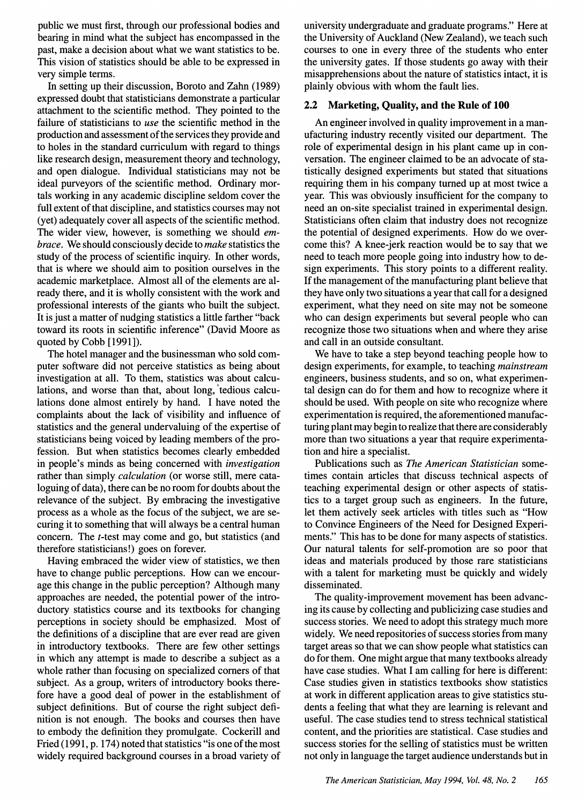public we must first, through our professional bodies and bearing in mind what the subject has encompassed in the past, make a decision about what we want statistics to be. This vision of statistics should be able to be expressed in very simple terms.

In setting up their discussion, Boroto and Zahn (1989) expressed doubt that statisticians demonstrate a particular attachment to the scientific method. They pointed to the failure of statisticians to *use* the scientific method in the production and assessment of the services they provide and to holes in the standard curriculum with regard to things like research design, measurement theory and technology, and open dialogue. Individual statisticians may not be ideal purveyors of the scientific method. Ordinary mortals working in any academic discipline seldom cover the full extent of that discipline, and statistics courses may not (yet) adequately cover all aspects of the scientific method. The wider view, however, is something we should *embrace.* We should consciously decide to *make* statistics the study of the process of scientific inquiry. In other words, that is where we should aim to position ourselves in the academic marketplace. Almost all of the elements are already there, and it is wholly consistent with the work and professional interests of the giants who built the subject. It is just a matter of nudging statistics a little farther "back toward its roots in scientific inference" (David Moore as quoted by Cobb [1991]).

The hotel manager and the businessman who sold computer software did not perceive statistics as being about investigation at all. To them, statistics was about calculations, and worse than that, about long, 'tedious calculations done almost entirely by hand. I have noted the complaints about the lack of visibility and influence of statistics and the general undervaluing of the expertise of statisticians being voiced by leading members of the profession. But when statistics becomes clearly embedded in people's minds as being concerned with *investigation*  rather than simply *calculation* (or worse still, mere cataloguing of data), there can be no room for doubts about the relevance of the subject. By embracing the investigative process as a whole as the focus of the subject, we are securing it to something that will always be a central human concern. The t-test may come and go, but statistics (and therefore statisticians!) goes on forever.

Having embraced the wider view of statistics, we then have to change public perceptions. How can we encourage this change in the public perception? Although many approaches are needed, the potential power of the introductory statistics course and its textbooks for changing perceptions in society should be emphasized. Most of the definitions of a discipline that are ever read are given in introductory textbooks. There are few other settings in which any attempt is made to describe a subject as a whole rather than focusing on specialized comers of that subject. As a group, writers of introductory books therefore have a good deal of power in the establishment of subject definitions. But of course the right subject definition is not enough. The books and courses then have to embody the definition they promulgate. Cockerill and Fried (1991, p. 174) noted that statistics "is one of the most widely required background courses in a broad variety of university undergraduate and graduate programs." Here at the University of Auckland (New Zealand), we teach such courses to one in every three of the students who enter the university gates. If those students go away with their misapprehensions about the nature of statistics intact, it is plainly obvious with whom the fault lies.

#### **2.2 Marketing, Quality, and the Rule of 100**

An engineer involved in quality improvement in a manufacturing industry recently visited our department. The role of experimental design in his plant came up in conversation. The engineer claimed to be an advocate of statistically designed experiments but stated that situations requiring them in his company turned up at most twice a year. This was obviously insufficient for the company to need an on-site specialist trained in experimental design. Statisticians often claim that industry does not recognize the potential of designed experiments. How do we overcome this? A knee-jerk reaction would be to say that we need to teach more people going into industry how to design experiments. This story points to a different reality. If the management of the manufacturing plant believe that they have only two situations a year that call for a designed experiment, what they need on site may not be someone who can design experiments but several people who can recognize those two situations when and where they arise and call in an outside consultant.

We have to take a step beyond teaching people how to design experiments, for example, to teaching *mainstream*  engineers, business students, and so on, what experimental design can do for them and how to recognize where it should be used. With people on site who recognize where experimentation is required, the aforementioned manufacturing plant may begin to realize that there are considerably more than two situations a year that require experimentation and hire a specialist.

Publications such as The *American Statistician* sometimes contain articles that discuss technical aspects of teaching experimental design or other aspects of statistics to a target group such as engineers. In the future, let them actively seek articles with titles such as "How to Convince Engineers of the Need for Designed Experiments." This has to be done for many aspects of statistics. Our natural talents for self-promotion are so poor that ideas and materials produced by those rare statisticians with a talent for marketing must be quickly and widely disseminated.

The quality-improvement movement has been advancing its cause by collecting and publicizing case studies and success stories. We need to adopt this strategy much more widely. We need repositories of success stories from many target areas so that we can show people what statistics can do for them. One might argue that many textbooks already have case studies. What I am calling for here is different: Case studies given in statistics textbooks show statistics at work in different application areas to give statistics students a feeling that what they are learning is relevant and useful. The case studies tend to stress technical statistical content, and the priorities are statistical. Case studies and success stories for the selling of statistics must be written not only in language the target audience understands but in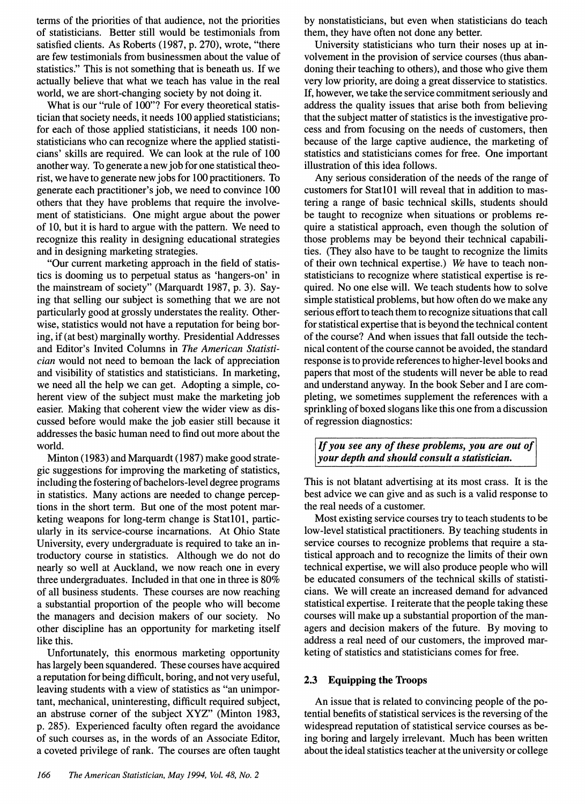terms of the priorities of that audience, not the priorities of statisticians. Better still would be testimonials from satisfied clients. As Roberts (1987, p. 270), wrote, "there are few testimonials from businessmen about the value of statistics." This is not something that is beneath us. If we actually believe that what we teach has value in the real world, we are short-changing society by not doing it.

What is our "rule of 100"? For every theoretical statistician that society needs, it needs 100 applied statisticians; for each of those applied statisticians, it needs 100 nonstatisticians who can recognize where the applied statisticians' skills are required. We can look at the rule of 100 another way. To generate a new job for one statistical theorist, we have to generate new jobs for 100 practitioners. To generate each practitioner's job, we need to convince 100 others that they have problems that require the involvement of statisticians. One might argue about the power of 10, but it is hard to argue with the pattern. We need to recognize this reality in designing educational strategies and in designing marketing strategies.

"Our current marketing approach in the field of statistics is dooming us to perpetual status as 'hangers-on' in the mainstream of society" (Marquardt 1987, p. 3). Saying that selling our subject is something that we are not particularly good at grossly understates the reality. Otherwise, statistics would not have a reputation for being boring, if (at best) marginally worthy. Presidential Addresses and Editor's Invited Columns in *The American Statistician* would not need to bemoan the lack of appreciation and visibility of statistics and statisticians. In marketing, we need all the help we can get. Adopting a simple, coherent view of the subject must make the marketing job easier. Making that coherent view the wider view as discussed before would make the job easier still because it addresses the basic human need to find out more about the world.

Minton (1983) and Marquardt (1987) make good strategic suggestions for improving the marketing of statistics, including the fostering of bachelors-level degree programs in statistics. Many actions are needed to change perceptions in the short term. But one of the most potent marketing weapons for long-term change is StatlOl, particularly in its service-course incarnations. At Ohio State University, every undergraduate is required to take an introductory course in statistics. Although we do not do nearly so well at Auckland, we now reach one in every three undergraduates. Included in that one in three is 80% of all business students. These courses are now reaching a substantial proportion of the people who will become the managers and decision makers of our society. No other discipline has an opportunity for marketing itself like this.

Unfortunately, this enormous marketing opportunity has largely been squandered. These courses have acquired a reputation for being difficult, boring, and not very useful, leaving students with a view of statistics as "an unimportant, mechanical, uninteresting, difficult required subject, an abstruse corner of the subject XYZ" (Minton 1983, p. 285). Experienced faculty often regard the avoidance of such courses as, in the words of an Associate Editor, a coveted privilege of rank. The courses are often taught by nonstatisticians, but even when statisticians do teach them, they have often not done any better.

University statisticians who turn their noses up at involvement in the provision of service courses (thus abandoning their teaching to others), and those who give them very low priority, are doing a great disservice to statistics. If, however, we take the service commitment seriously and address the quality issues that arise both from believing that the subject matter of statistics is the investigative process and from focusing on the needs of customers, then because of the large captive audience, the marketing of statistics and statisticians comes for free. One important illustration of this idea follows.

Any serious consideration of the needs of the range of customers for StatlOl will reveal that in addition to mastering a range of basic technical skills, students should be taught to recognize when situations or problems require a statistical approach, even though the solution of those problems may be beyond their technical capabilities. (They also have to be taught to recognize the limits of their own technical expertise.) *We* have to teach nonstatisticians to recognize where statistical expertise is required. No one else will. We teach students how to solve simple statistical problems, but how often do we make any serious effort to teach them to recognize situations that call for statistical expertise that is beyond the technical content of the course? And when issues that fall outside the eechnical content of the course cannot be avoided, the standard response is to provide references to higher-level books and papers that most of the students will never be able to read and understand anyway. In the book Seber and I are completing, we sometimes supplement the references with a sprinkling of boxed slogans like this one from a discussion of regression diagnostics:

*If you see any of these problems, you are out of your depth and should consult a statistician.* 

This is not blatant advertising at its most crass. It is the best advice we can give and as such is a valid response to the real needs of a customer.

Most existing service courses try to teach students to be low-level statistical practitioners. By teaching students in service courses to recognize problems that require a statistical approach and to recognize the limits of their own technical expertise, we will also produce people who will be educated consumers of the technical skills of statisticians. We will create an increased demand for advanced statistical expertise. I reiterate that the people taking these courses will make up a substantial proportion of the managers and decision makers of the future. By moving to address a real need of our customers, the improved marketing of statistics and statisticians comes for free.

### **2.3 Equipping the Troops**

An issue that is related to convincing people of the potential benefits of statistical services is the reversing of the widespread reputation of statistical service courses as being boring and largely irrelevant. Much has been written about the ideal statistics teacher at the university or college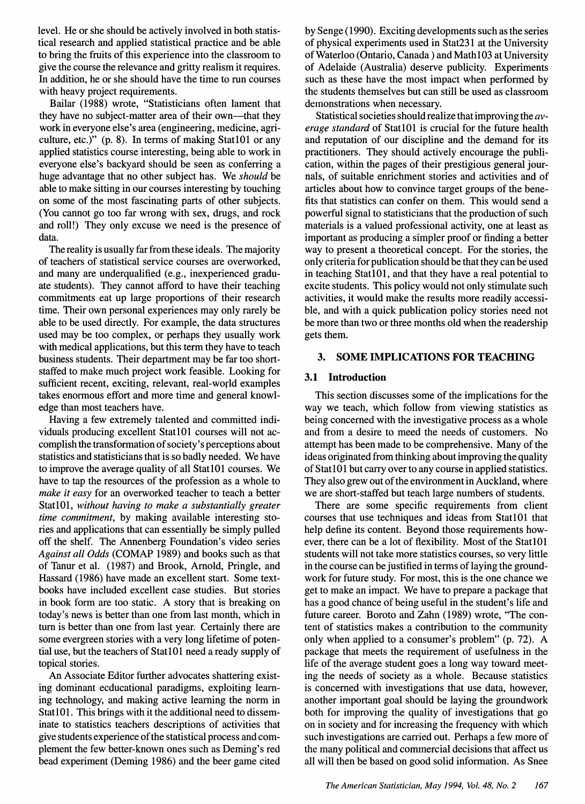level. He or she should be actively involved in both statistical research and applied statistical practice and be able to bring the fruits of this experience into the classroom to give the course the relevance and gritty realism it requires. In addition, he or she should have the time to run courses with heavy project requirements.

Bailar (1988) wrote, "Statisticians often lament that they have no subject-matter area of their own—that they work in everyone else's area (engineering, medicine, agriculture, etc.)" (p. 8). In terms of making StatlOl or any applied statistics course interesting, being able to work in everyone else's backyard should be seen as conferring a huge advantage that no other subject has. We *should* be able to make sitting in our courses interesting by touching on some of the most fascinating parts of other subjects. (You cannot go too far wrong with sex, drugs, and rock and roll!) They only excuse we need is the presence of data.

The reality is usually far from these ideals. The majority of teachers of statistical service courses are overworked, and many are underqualified (e.g., inexperienced graduate students). They cannot afford to have their teaching commitments eat up large proportions of their research time. Their own personal experiences may only rarely be able to be used directly. For example, the data structures used may be too complex, or perhaps they usually work with medical applications, but this term they have to teach business students. Their department may be far too shortstaffed to make much project work feasible. Looking for sufficient recent, exciting, relevant, real-world examples takes enormous effort and more time and general knowledge than most teachers have.

Having a few extremely talented and committed individuals producing excellent StatlOl courses will not accomplish the transformation of society's perceptions about statistics and statisticians that is so badly needed. We have to improve the average quality of all StatlOl courses. We have to tap the resources of the profession as a whole to *make it easy* for an overworked teacher to teach a better StatlOl, *without having to make a substantially greater time commitment,* by making available interesting stories and applications that can essentially be simply pulled off the shelf. The Annenberg Foundation's video series *Against all Odds* (COMAP 1989) and books such as that of Tanur et al. (1987) and Brook, Arnold, Pringle, and Hassard (1986) have made an excellent start. Some textbooks have included excellent case studies. But stories in book form are too static. **A** story that is breaking on today's news is better than one from last month, which in turn is better than one from last year. Certainly there are some evergreen stories with a very long lifetime of potential use, but the teachers of StatlOl need a ready supply of topical stories.

An Associate Editor further advocates shattering existing dominant ecducational paradigms, exploiting learning technology, and making active learning the norm in Stat 101. This brings with it the additional need to disseminate to statistics teachers descriptions of activities that give students experience of the statistical process and complement the few better-known ones such as Deming's red bead experiment (Deming 1986) and the beer game cited by Senge (1990). Exciting developments such as the series of physical experiments used in Stat23 1 at the University of Waterloo (Ontario, Canada ) and Math103 at University of Adelaide (Australia) deserve publicity. Experiments such as these have the most impact when performed by the students themselves but can still be used as classroom demonstrations when necessary.

Statistical societies should realize that improving the *average standard* of StatlOl is crucial for the future health and reputation of our discipline and the demand for its practitioners. They should actively encourage the publication, within the pages of their prestigious general journals, of suitable enrichment stories and activities and of articles about how to convince target groups of the benefits that statistics can confer on them. This would send a powerful signal to statisticians that the production of such materials is a valued professional activity, one at least as important as producing a simpler proof or finding a better way to present a theoretical concept. For the stories, the only criteria for publication should be that they can be used in teaching StatlOl, and that they have a real potential to excite students. This policy would not only stimulate such activities, it would make the results more readily accessible, and with a quick publication policy stories need not be more than two or three months old when the readership gets them.

#### **3. SOME IMPLICATIONS FOR TEACHING**

#### **3.1 Introduction**

This section discusses some of the implications for the way we teach, which follow from viewing statistics as being concerned with the investigative process as a whole and from a desire to meed the needs of customers. No attempt has been made to be comprehensive. Many of the ideas originated from thinking about improving the quality of StatlOl but carry over to any course in applied statistics. They also grew out of the environment in Auckland, where we are short-staffed but teach large numbers of students.

There are some specific requirements from client courses that use techniques and ideas from StatlOl that help define its content. Beyond those requirements however, there can be a lot of flexibility. Most of the StatlOl students will not take more statistics courses, so very little in the course can be justified in terms of laying the groundwork for future study. For most, this is the one chance we get to make an impact. We have to prepare a package that has a good chance of being useful in the student's life and future career. Boroto and Zahn (1989) wrote, "The content of statistics makes a contribution to the community only when applied to a consumer's problem" (p. 72). A package that meets the requirement of usefulness in the life of the average student goes a long way toward meeting the needs of society as a whole. Because statistics is concerned with investigations that use data, however, another important goal should be laying the groundwork both for improving the quality of investigations that go on in society and for increasing the frequency with which such investigations are carried out. Perhaps a few more of the many political and commercial decisions that affect us all will then be based on good solid information. As Snee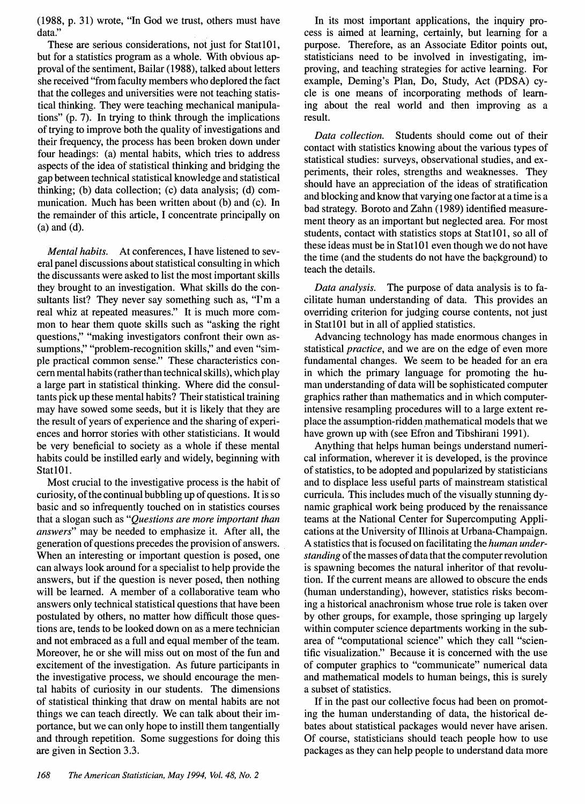(1988, p. 31) wrote, "In God we trust, others must have data."

These are serious considerations, not just for StatlOl, but for a statistics program as a whole. With obvious approval of the sentiment, Bailar (1988), talked about letters she received "from faculty members who deplored the fact that the colleges and universities were not teaching statistical thinking. They were teaching mechanical manipulations" (p. 7). In trying to think through the implications of trying to improve both the quality of investigations and their frequency, the process has been broken down under four headings: (a) mental habits, which tries to address aspects of the idea of statistical thinking and bridging the gap between technical statistical knowledge and statistical thinking; (b) data collection; (c) data analysis; (d) communication. Much has been written about (b) and (c). In the remainder of this article, I concentrate principally on (a) and (d).

*Mental habits.* At conferences, I have listened to several panel discussions about statistical consulting in which the discussants were asked to list the most important skills they brought to an investigation. What skills do the consultants list? They never say something such as, "I'm a real whiz at repeated measures." It is much more common to hear them quote skills such as "asking the right questions," "making investigators confront their own assumptions," "problem-recognition skills," and even "simple practical common sense." These characteristics concern mental habits (rather than technical skills), which play a large part in statistical thinking. Where did the consultants pick up these mental habits? Their statistical training may have sowed some seeds, but it is likely that they are the result of years of experience and the sharing of experiences and horror stories with other statisticians. It would be very beneficial to society as a whole if these mental habits could be instilled early and widely, beginning with Stat<sub>101</sub>.

Most crucial to the investigative process is the habit of curiosity, of the continual bubbling up of questions. It is so basic and so infrequently touched on in statistics courses that a slogan such as *"Questions are more important than answers"* may be needed to emphasize it. After all, the generation of questions precedes the provision of answers. When an interesting or important question is posed, one can always look around for a specialist to help provide the answers, but if the question is never posed, then nothing will be learned. A member of a collaborative team who answers only technical statistical questions that have been postulated by others, no matter how difficult those questions are, tends to be looked down on as a mere technician and not embraced as a full and equal member of the team. Moreover, he or she will miss out on most of the fun and excitement of the investigation. As future participants in the investigative process, we should encourage the mental habits of curiosity in our students. The dimensions of statistical thinking that draw on mental habits are not things we can teach directly. We can talk about their importance, but we can only hope to instill them tangentially and through repetition. Some suggestions for doing this are given in Section 3.3.

In its most important applications, the inquiry process is aimed at learning, certainly, but learning for a purpose. Therefore, as an Associate Editor points out, statisticians need to be involved in investigating, improving, and teaching strategies for active learning. For example, Deming's Plan, Do, Study, Act (PDSA) cycle is one means of incorporating methods of learning about the real world and then improving as a result.

*Data collection.* Students should come out of their contact with statistics knowing about the various types of statistical studies: surveys, observational studies, and experiments, their roles, strengths and weaknesses. They should have an appreciation of the ideas of stratification and blocking and know that varying one factor at a time is a bad strategy. Boroto and Zahn (1989) identified measurement theory as an important but neglected area. For most students, contact with statistics stops at StatlOl, so all of these ideas must be in StatlOl even though we do not have the time (and the students do not have the background) to teach the details.

*Data analysis.* The purpose of data analysis is to facilitate human understanding of data. This provides an overriding criterion for judging course contents, not just in StatlOl but in all of applied statistics.

Advancing technology has made enormous changes in statistical *practice,* and we are on the edge of even more fundamental changes. We seem to be headed for an era in which the primary language for promoting the human understanding of data will be sophisticated computer graphics rather than mathematics and in which computerintensive resampling procedures will to a large extent replace the assumption-ridden mathematical models that we have grown up with (see Efron and Tibshirani 1991).

Anything that helps human beings understand numerical information, wherever it is developed, is the province of statistics, to be adopted and popularized by statisticians and to displace less useful parts of mainstream statistical curricula. This includes much of the visually stunning dynamic graphical work being produced by the renaissance teams at the National Center for Supercomputing Applications at the University of Illinois at Urbana-Champaign. A statistics that is focused on facilitating the *human understanding* of the masses of data that the computer revolution is spawning becomes the natural inheritor of that revolution. If the current means are allowed to obscure the ends (human understanding), however, statistics risks becoming a historical anachronism whose true role is taken over by other groups, for example, those springing up largely within computer science departments working in the subarea of "computational science" which they call "scientific visualization." Because it is concerned with the use of computer graphics to "communicate" numerical data and mathematical models to human beings, this is surely a subset of statistics.

If in the past our collective focus had been on promoting the human understanding of data, the historical debates about statistical packages would never have arisen. Of course, statisticians should teach people how to use packages as they can help people to understand data more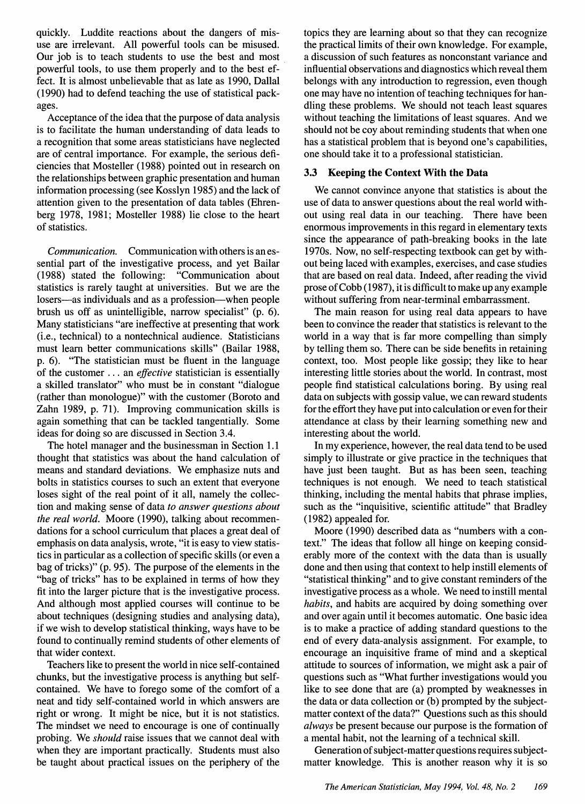quickly. Luddite reactions about the dangers of misuse are irrelevant. All powerful tools can be misused. Our job is to teach students to use the best and most powerful tools, to use them properly and to the best effect. It is almost unbelievable that as late as 1990, Dallal (1990) had to defend teaching the use of statistical packages.

Acceptance of the idea that the purpose of data analysis is to facilitate the human understanding of data leads to a recognition that some areas statisticians have neglected are of central importance. For example, the serious deficiencies that Mosteller (1988) pointed out in research on the relationships between graphic presentation and human information processing (see Kosslyn 1985) and the lack of attention given to the presentation of data tables (Ehrenberg 1978, 1981; Mosteller 1988) lie close to the heart of statistics.

*Communication.* Communication with others is an essential part of the investigative process, and yet Bailar (1988) stated the following: "Communication about statistics is rarely taught at universities. But we are the losers—as individuals and as a profession—when people brush us off as unintelligible, narrow specialist" (p. 6). Many statisticians "are ineffective at presenting that work (i.e., technical) to a nontechnical audience. Statisticians must learn better communications skills" (Bailar 1988, p. 6). "The statistician must be fluent in the language of the customer . . . an *effective* statistician is essentially a skilled translator" who must be in constant "dialogue (rather than monologue)" with the customer (Boroto and Zahn 1989, p. 71). Improving communication skills is again something that can be tackled tangentially. Some ideas for doing so are discussed in Section 3.4.

The hotel manager and the businessman in Section 1.1 thought that statistics was about the hand calculation of means and standard deviations. We emphasize nuts and bolts in statistics courses to such an extent that everyone loses sight of the real point of it all, namely the collection and making sense of data *to answer questions about the real world.* Moore (1990), talking about recommendations for a school curriculum that places a great deal of emphasis on data analysis, wrote, "it is easy to view statistics in particular as a collection of specific skills (or even a bag of tricks)" (p. 95). The purpose of the elements in the "bag of tricks" has to be explained in terms of how they fit into the larger picture that is the investigative process. And although most applied courses will continue to be about techniques (designing studies and analysing data), if we wish to develop statistical thinking, ways have to be found to continually remind students of other elements of that wider context.

Teachers like to present the world in nice self-contained chunks, but the investigative process is anything but selfcontained. We have to forego some of the comfort of a neat and tidy self-contained world in which answers are right or wrong. It might be nice, but it is not statistics. The mindset we need to encourage is one of continually probing. We *should* raise issues that we cannot deal with when they are important practically. Students must also be taught about practical issues on the periphery of the topics they are learning about so that they can recognize the practical limits of their own knowledge. For example, a discussion of such features as nonconstant variance and influential observations and diagnostics which reveal them belongs with any introduction to regression, even though one may have no intention of teaching techniques for handling these problems. We should not teach least squares without teaching the limitations of least squares. And we should not be coy about reminding students that when one has a statistical problem that is beyond one's capabilities, one should take it to a professional statistician.

#### **3.3 Keeping the Context With the Data**

We cannot convince anyone that statistics is about the use of data to answer questions about the real world without using real data in our teaching. There have been enormous improvements in this regard in elementary texts since the appearance of path-breaking books in the late 1970s. Now, no self-respecting textbook can get by without being laced with examples, exercises, and case studies that are based on real data. Indeed, after reading the vivid prose of Cobb (1987), it is difficult to make up any example without suffering from near-terminal embarrassment.

The main reason for using real data appears to have been to convince the reader that statistics is relevant to the world in a way that is far more compelling than simply by telling them so. There can be side benefits in retaining context, too. Most people like gossip; they like to hear interesting little stories about the world. In contrast, most people find statistical calculations boring. By using real data on subjects with gossip value, we can reward students for the effort they have put into calculation or even for their attendance at class by their learning something new and interesting about the world.

In my experience, however, the real data tend to be used simply to illustrate or give practice in the techniques that have just been taught. But as has been seen, teaching techniques is not enough. We need to teach statistical thinking, including the mental habits that phrase implies, such as the "inquisitive, scientific attitude" that Bradley (1982) appealed for.

Moore (1990) described data as "numbers with a context." The ideas that follow all hinge on keeping considerably more of the context with the data than is usually done and then using that context to help instill elements of "statistical thinking" and to give constant reminders of the investigative process as a whole. We need to instill mental *habits,* and habits are acquired by doing something over and over again until it becomes automatic. One basic idea is to make a practice of adding standard questions to the end of every data-analysis assignment. For example, to encourage an inquisitive frame of mind and a skeptical attitude to sources of information, we might ask a pair of questions such as "What further investigations would you like to see done that are (a) prompted by weaknesses in the data or data collection or (b) prompted by the subjectmatter context of the data?" Questions such as this should *always* be present because our purpose is the formation of a mental habit, not the learning of a technical skill.

Generation of subject-matter questions requires subjectmatter knowledge. This is another reason why it is so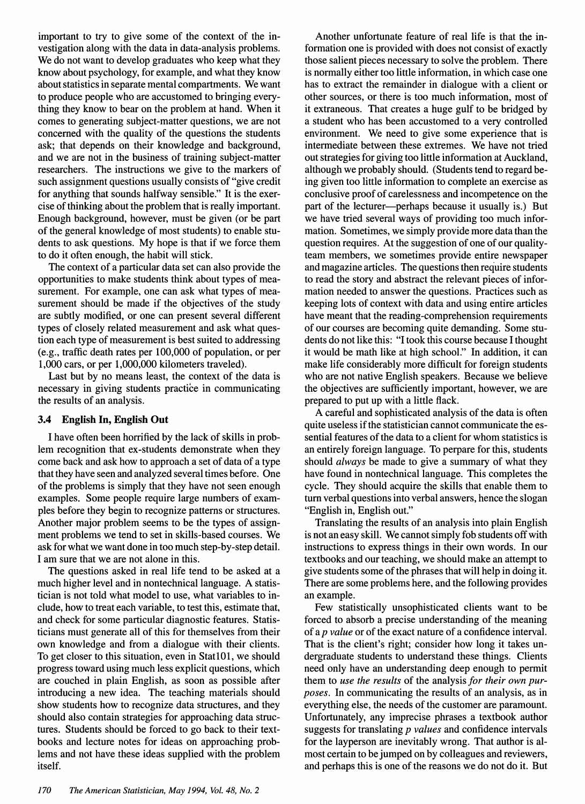important to try to give some of the context of the investigation along with the data in data-analysis problems. We do not want to develop graduates who keep what they know about psychology, for example, and what they know about statistics in separate mental compartments. We want to produce people who are accustomed to bringing everything they know to bear on the problem at hand. When it comes to generating subject-matter questions, we are not concerned with the quality of the questions the students ask; that depends on their knowledge and background, and we are not in the business of training subject-matter researchers. The instructions we give to the markers of such assignment questions usually consists of "give credit for anything that sounds halfway sensible." It is the exercise of thinking about the problem that is really important. Enough background, however, must be given (or be part of the general knowledge of most students) to enable students to ask questions. My hope is that if we force them to do it often enough, the habit will stick.

The context of a particular data set can also provide the opportunities to make students think about types of measurement. For example, one can ask what types of measurement should be made if the objectives of the study are subtly modified, or one can present several different types of closely related measurement and ask what question each type of measurement is best suited to addressing (e.g., traffic death rates per 100,000 of population, or per 1,000 cars, or per 1,000,000 kilometers traveled).

Last but by no means least, the context of the data is necessary in giving students practice in communicating the results of an analysis.

#### **3.4 English In, English Out**

I have often been horrified by the lack of skills in problem recognition that ex-students demonstrate when they come back and ask how to approach a set of data of a type that they have seen and analyzed several times before. One of the problems is simply that they have not seen enough examples. Some people require large numbers of examples before they begin to recognize patterns or structures. Another major problem seems to be the types of assignment problems we tend to set in skills-based courses. We ask for what we want done in too much step-by-step detail. I am sure that we are not alone in this.

The questions asked in real life tend to be asked at a much higher level and in nontechnical language. A statistician is not told what model to use, what variables to include, how to treat each variable, to test this, estimate that, and check for some particular diagnostic features. Statisticians must generate all of this for themselves from their own knowledge and from a dialogue with their clients. To get closer to this situation, even in StatlOl, we should progress toward using much less explicit questions, which are couched in plain English, as soon as possible after introducing a new idea. The teaching materials should show students how to recognize data structures, and they should also contain strategies for approaching data structures. Students should be forced to go back to their textbooks and lecture notes for ideas on approaching problems and not have these ideas supplied with the problem itself.

Another unfortunate feature of real life is that the information one is provided with does not consist of exactly those salient pieces necessary to solve the problem. There is normally either too little information, in which case one has to extract the remainder in dialogue with a client or other sources, or there is too much information, most of it extraneous. That creates a huge gulf to be bridged by a student who has been accustomed to a very controlled environment. We need to give some experience that is intermediate between these extremes. We have not tried out strategies for giving too little information at Auckland, although we probably should. (Students tend to regard being given too little information to complete an exercise as conclusive proof of carelessness and incompetence on the part of the lecturer—perhaps because it usually is.) But we have tried several ways of providing too much information. Sometimes, we simply provide more data than the question requires. At the suggestion of one of our qualityteam members, we sometimes provide entire newspaper and magazine articles. The questions then require students to read the story and abstract the relevant pieces of information needed to answer the questions. Practices such as keeping lots of context with data and using entire articles have meant that the reading-comprehension requirements of our courses are becoming quite demanding. Some students do not like this: "I took this course because I thought it would be math like at high school." In addition, it can make life considerably more difficult for foreign students who are not native English speakers. Because we believe the objectives are sufficiently important, however, we are prepared to put up with a little flack.

A careful and sophisticated analysis of the data is often quite useless if the statistician cannot communicate the essential features of the data to a client for whom statistics is an entirely foreign language. To perpare for this, students should *always* be made to give a summary of what they have found in nontechnical language. This completes the cycle. They should acquire the skills that enable them to turn verbal questions into verbal answers, hence the slogan "English in, English out."

Translating the results of an analysis into plain English is not an easy skill. We cannot simply fob students off with instructions to express things in their own words. In our textbooks and our teaching, we should make an attempt to give students some of the phrases that will help in doing it. There are some problems here, and the following provides an example.

Few statistically unsophisticated clients want to be forced to absorb a precise understanding of the meaning of ap *value* or of the exact nature of a confidence interval. That is the client's right; consider how long it takes undergraduate students to understand these things. Clients need only have an understanding deep enough to permit them to *use the results* of the analysis *for their* own *purposes.* In communicating the results of an analysis, as in everything else, the needs of the customer are paramount. Unfortunately, any imprecise phrases a textbook author suggests for translating *p values* and confidence intervals for the layperson are inevitably wrong. That author is almost certain to be jumped on by colleagues and reviewers, and perhaps this is one of the reasons we do not do it. But